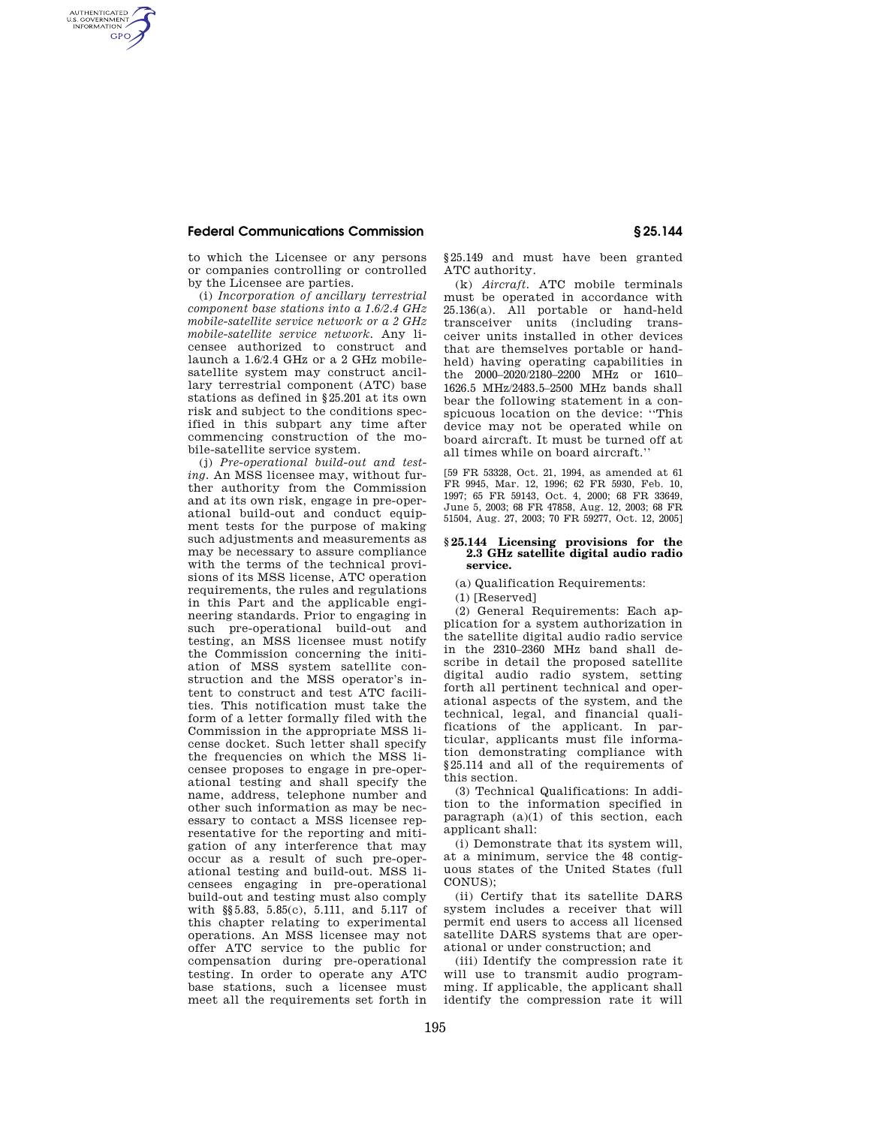## **Federal Communications Commission § 25.144**

AUTHENTICATED<br>U.S. GOVERNMENT<br>INFORMATION **GPO** 

> to which the Licensee or any persons or companies controlling or controlled by the Licensee are parties.

(i) *Incorporation of ancillary terrestrial component base stations into a 1.6/2.4 GHz mobile-satellite service network or a 2 GHz mobile-satellite service network.* Any licensee authorized to construct and launch a 1.6/2.4 GHz or a 2 GHz mobilesatellite system may construct ancillary terrestrial component (ATC) base stations as defined in §25.201 at its own risk and subject to the conditions specified in this subpart any time after commencing construction of the mobile-satellite service system.

(j) *Pre-operational build-out and testing.* An MSS licensee may, without further authority from the Commission and at its own risk, engage in pre-operational build-out and conduct equipment tests for the purpose of making such adjustments and measurements as may be necessary to assure compliance with the terms of the technical provisions of its MSS license, ATC operation requirements, the rules and regulations in this Part and the applicable engineering standards. Prior to engaging in such pre-operational build-out and testing, an MSS licensee must notify the Commission concerning the initiation of MSS system satellite construction and the MSS operator's intent to construct and test ATC facilities. This notification must take the form of a letter formally filed with the Commission in the appropriate MSS license docket. Such letter shall specify the frequencies on which the MSS licensee proposes to engage in pre-operational testing and shall specify the name, address, telephone number and other such information as may be necessary to contact a MSS licensee representative for the reporting and mitigation of any interference that may occur as a result of such pre-operational testing and build-out. MSS licensees engaging in pre-operational build-out and testing must also comply with §§5.83, 5.85(c), 5.111, and 5.117 of this chapter relating to experimental operations. An MSS licensee may not offer ATC service to the public for compensation during pre-operational testing. In order to operate any ATC base stations, such a licensee must meet all the requirements set forth in

§25.149 and must have been granted ATC authority.

(k) *Aircraft.* ATC mobile terminals must be operated in accordance with 25.136(a). All portable or hand-held transceiver units (including transceiver units installed in other devices that are themselves portable or handheld) having operating capabilities in the 2000–2020/2180–2200 MHz or 1610– 1626.5 MHz/2483.5–2500 MHz bands shall bear the following statement in a conspicuous location on the device: ''This device may not be operated while on board aircraft. It must be turned off at all times while on board aircraft.''

[59 FR 53328, Oct. 21, 1994, as amended at 61 FR 9945, Mar. 12, 1996; 62 FR 5930, Feb. 10, 1997; 65 FR 59143, Oct. 4, 2000; 68 FR 33649, June 5, 2003; 68 FR 47858, Aug. 12, 2003; 68 FR 51504, Aug. 27, 2003; 70 FR 59277, Oct. 12, 2005]

## **§ 25.144 Licensing provisions for the 2.3 GHz satellite digital audio radio service.**

(a) Qualification Requirements:

(1) [Reserved]

(2) General Requirements: Each application for a system authorization in the satellite digital audio radio service in the 2310–2360 MHz band shall describe in detail the proposed satellite digital audio radio system, setting forth all pertinent technical and operational aspects of the system, and the technical, legal, and financial qualifications of the applicant. In particular, applicants must file information demonstrating compliance with §25.114 and all of the requirements of this section.

(3) Technical Qualifications: In addition to the information specified in paragraph (a)(1) of this section, each applicant shall:

(i) Demonstrate that its system will, at a minimum, service the 48 contiguous states of the United States (full CONUS);

(ii) Certify that its satellite DARS system includes a receiver that will permit end users to access all licensed satellite DARS systems that are operational or under construction; and

(iii) Identify the compression rate it will use to transmit audio programming. If applicable, the applicant shall identify the compression rate it will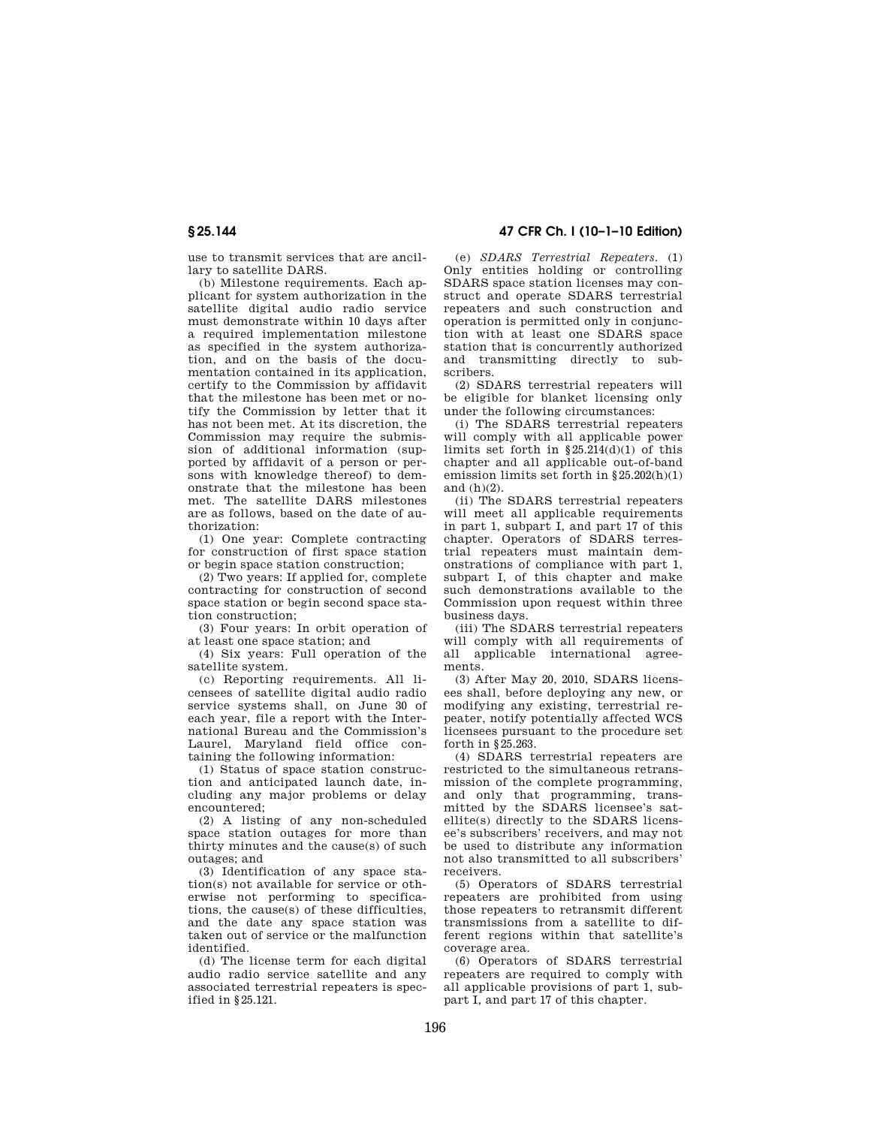use to transmit services that are ancillary to satellite DARS.

(b) Milestone requirements. Each applicant for system authorization in the satellite digital audio radio service must demonstrate within 10 days after a required implementation milestone as specified in the system authorization, and on the basis of the documentation contained in its application, certify to the Commission by affidavit that the milestone has been met or notify the Commission by letter that it has not been met. At its discretion, the Commission may require the submission of additional information (supported by affidavit of a person or persons with knowledge thereof) to demonstrate that the milestone has been met. The satellite DARS milestones are as follows, based on the date of authorization:

(1) One year: Complete contracting for construction of first space station or begin space station construction;

(2) Two years: If applied for, complete contracting for construction of second space station or begin second space station construction;

(3) Four years: In orbit operation of at least one space station; and

(4) Six years: Full operation of the satellite system.

(c) Reporting requirements. All licensees of satellite digital audio radio service systems shall, on June 30 of each year, file a report with the International Bureau and the Commission's Laurel, Maryland field office containing the following information:

(1) Status of space station construction and anticipated launch date, including any major problems or delay encountered;

(2) A listing of any non-scheduled space station outages for more than thirty minutes and the cause(s) of such outages; and

(3) Identification of any space station(s) not available for service or otherwise not performing to specifications, the cause(s) of these difficulties, and the date any space station was taken out of service or the malfunction identified.

(d) The license term for each digital audio radio service satellite and any associated terrestrial repeaters is specified in §25.121.

**§ 25.144 47 CFR Ch. I (10–1–10 Edition)** 

(e) *SDARS Terrestrial Repeaters.* (1) Only entities holding or controlling SDARS space station licenses may construct and operate SDARS terrestrial repeaters and such construction and operation is permitted only in conjunction with at least one SDARS space station that is concurrently authorized and transmitting directly to subscribers.

(2) SDARS terrestrial repeaters will be eligible for blanket licensing only under the following circumstances:

(i) The SDARS terrestrial repeaters will comply with all applicable power limits set forth in §25.214(d)(1) of this chapter and all applicable out-of-band emission limits set forth in §25.202(h)(1) and  $(h)(2)$ .

(ii) The SDARS terrestrial repeaters will meet all applicable requirements in part 1, subpart I, and part 17 of this chapter. Operators of SDARS terrestrial repeaters must maintain demonstrations of compliance with part 1, subpart I, of this chapter and make such demonstrations available to the Commission upon request within three business days.

(iii) The SDARS terrestrial repeaters will comply with all requirements of all applicable international agreements.

(3) After May 20, 2010, SDARS licensees shall, before deploying any new, or modifying any existing, terrestrial repeater, notify potentially affected WCS licensees pursuant to the procedure set forth in §25.263.

(4) SDARS terrestrial repeaters are restricted to the simultaneous retransmission of the complete programming, and only that programming, transmitted by the SDARS licensee's satellite(s) directly to the SDARS licensee's subscribers' receivers, and may not be used to distribute any information not also transmitted to all subscribers' receivers.

(5) Operators of SDARS terrestrial repeaters are prohibited from using those repeaters to retransmit different transmissions from a satellite to different regions within that satellite's coverage area.

(6) Operators of SDARS terrestrial repeaters are required to comply with all applicable provisions of part 1, subpart I, and part 17 of this chapter.